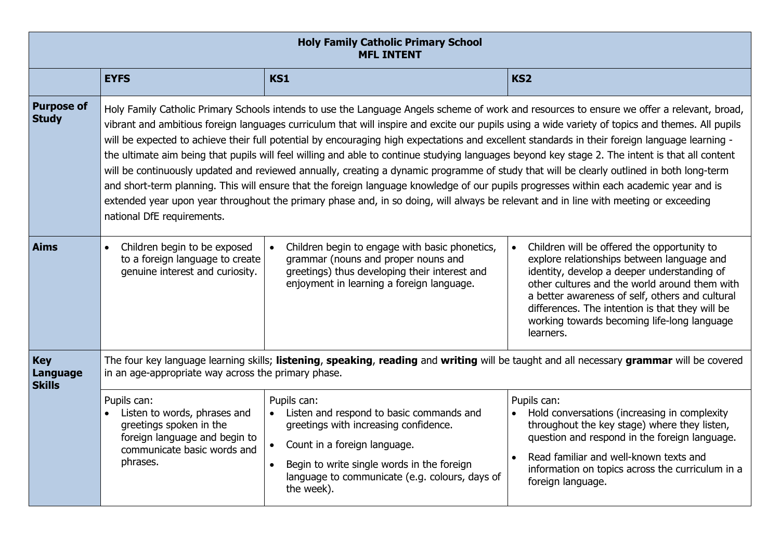| <b>Holy Family Catholic Primary School</b><br><b>MFL INTENT</b> |                                                                                                                                                                                                                                                                                                                                                                                                                                                                                                                                                                                                                                                                                                                                                                                                                                                                                                                                                                                                                                                                   |                                                                                                                                                                                                                                                |                                                                                                                                                                                                                                                                                                                                                                          |  |
|-----------------------------------------------------------------|-------------------------------------------------------------------------------------------------------------------------------------------------------------------------------------------------------------------------------------------------------------------------------------------------------------------------------------------------------------------------------------------------------------------------------------------------------------------------------------------------------------------------------------------------------------------------------------------------------------------------------------------------------------------------------------------------------------------------------------------------------------------------------------------------------------------------------------------------------------------------------------------------------------------------------------------------------------------------------------------------------------------------------------------------------------------|------------------------------------------------------------------------------------------------------------------------------------------------------------------------------------------------------------------------------------------------|--------------------------------------------------------------------------------------------------------------------------------------------------------------------------------------------------------------------------------------------------------------------------------------------------------------------------------------------------------------------------|--|
|                                                                 | <b>EYFS</b>                                                                                                                                                                                                                                                                                                                                                                                                                                                                                                                                                                                                                                                                                                                                                                                                                                                                                                                                                                                                                                                       | <b>KS1</b>                                                                                                                                                                                                                                     | KS <sub>2</sub>                                                                                                                                                                                                                                                                                                                                                          |  |
| <b>Purpose of</b><br><b>Study</b>                               | Holy Family Catholic Primary Schools intends to use the Language Angels scheme of work and resources to ensure we offer a relevant, broad,<br>vibrant and ambitious foreign languages curriculum that will inspire and excite our pupils using a wide variety of topics and themes. All pupils<br>will be expected to achieve their full potential by encouraging high expectations and excellent standards in their foreign language learning -<br>the ultimate aim being that pupils will feel willing and able to continue studying languages beyond key stage 2. The intent is that all content<br>will be continuously updated and reviewed annually, creating a dynamic programme of study that will be clearly outlined in both long-term<br>and short-term planning. This will ensure that the foreign language knowledge of our pupils progresses within each academic year and is<br>extended year upon year throughout the primary phase and, in so doing, will always be relevant and in line with meeting or exceeding<br>national DfE requirements. |                                                                                                                                                                                                                                                |                                                                                                                                                                                                                                                                                                                                                                          |  |
| <b>Aims</b>                                                     | Children begin to be exposed<br>$\bullet$<br>to a foreign language to create<br>genuine interest and curiosity.                                                                                                                                                                                                                                                                                                                                                                                                                                                                                                                                                                                                                                                                                                                                                                                                                                                                                                                                                   | Children begin to engage with basic phonetics,<br>grammar (nouns and proper nouns and<br>greetings) thus developing their interest and<br>enjoyment in learning a foreign language.                                                            | Children will be offered the opportunity to<br>$\bullet$<br>explore relationships between language and<br>identity, develop a deeper understanding of<br>other cultures and the world around them with<br>a better awareness of self, others and cultural<br>differences. The intention is that they will be<br>working towards becoming life-long language<br>learners. |  |
| <b>Key</b><br>Language<br><b>Skills</b>                         | The four key language learning skills; listening, speaking, reading and writing will be taught and all necessary grammar will be covered<br>in an age-appropriate way across the primary phase.                                                                                                                                                                                                                                                                                                                                                                                                                                                                                                                                                                                                                                                                                                                                                                                                                                                                   |                                                                                                                                                                                                                                                |                                                                                                                                                                                                                                                                                                                                                                          |  |
|                                                                 | Pupils can:<br>Listen to words, phrases and<br>greetings spoken in the<br>foreign language and begin to<br>communicate basic words and<br>phrases.                                                                                                                                                                                                                                                                                                                                                                                                                                                                                                                                                                                                                                                                                                                                                                                                                                                                                                                | Pupils can:<br>Listen and respond to basic commands and<br>greetings with increasing confidence.<br>Count in a foreign language.<br>Begin to write single words in the foreign<br>language to communicate (e.g. colours, days of<br>the week). | Pupils can:<br>Hold conversations (increasing in complexity<br>throughout the key stage) where they listen,<br>question and respond in the foreign language.<br>Read familiar and well-known texts and<br>information on topics across the curriculum in a<br>foreign language.                                                                                          |  |